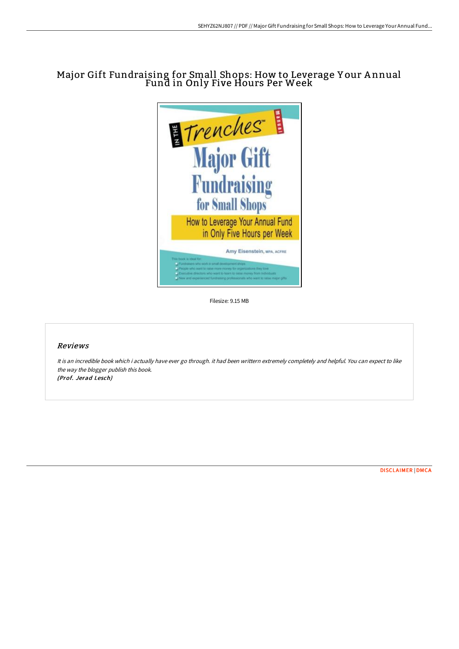# Major Gift Fundraising for Small Shops: How to Leverage Y our A nnual Fund in Only Five Hours Per Week



Filesize: 9.15 MB

## Reviews

It is an incredible book which i actually have ever go through. it had been writtern extremely completely and helpful. You can expect to like the way the blogger publish this book. (Prof. Jerad Lesch)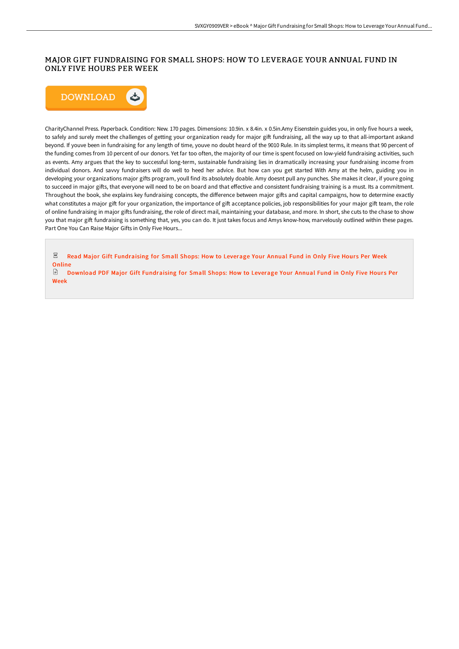### MAJOR GIFT FUNDRAISING FOR SMALL SHOPS: HOW TO LEVERAGE YOUR ANNUAL FUND IN ONLY FIVE HOURS PER WEEK



CharityChannel Press. Paperback. Condition: New. 170 pages. Dimensions: 10.9in. x 8.4in. x 0.5in.Amy Eisenstein guides you, in only five hours a week, to safely and surely meet the challenges of getting your organization ready for major gift fundraising, all the way up to that all-important askand beyond. If youve been in fundraising for any length of time, youve no doubt heard of the 9010 Rule. In its simplest terms, it means that 90 percent of the funding comes from 10 percent of our donors. Yet far too often, the majority of our time is spent focused on low-yield fundraising activities, such as events. Amy argues that the key to successful long-term, sustainable fundraising lies in dramatically increasing your fundraising income from individual donors. And savvy fundraisers will do well to heed her advice. But how can you get started With Amy at the helm, guiding you in developing your organizations major gifts program, youll find its absolutely doable. Amy doesnt pull any punches. She makes it clear, if youre going to succeed in major gifts, that everyone will need to be on board and that effective and consistent fundraising training is a must. Its a commitment. Throughout the book, she explains key fundraising concepts, the difference between major gifts and capital campaigns, how to determine exactly what constitutes a major gift for your organization, the importance of gift acceptance policies, job responsibilities for your major gift team, the role of online fundraising in major gifts fundraising, the role of direct mail, maintaining your database, and more. In short, she cuts to the chase to show you that major gift fundraising is something that, yes, you can do. It just takes focus and Amys know-how, marvelously outlined within these pages. Part One You Can Raise Major Gifts in Only Five Hours...

 $PDF$ Read Major Gift [Fundraising](http://albedo.media/major-gift-fundraising-for-small-shops-how-to-le.html) for Small Shops: How to Leverage Your Annual Fund in Only Five Hours Per Week **Online** 

€ Download PDF Major Gift [Fundraising](http://albedo.media/major-gift-fundraising-for-small-shops-how-to-le.html) for Small Shops: How to Leverage Your Annual Fund in Only Five Hour s Per Week